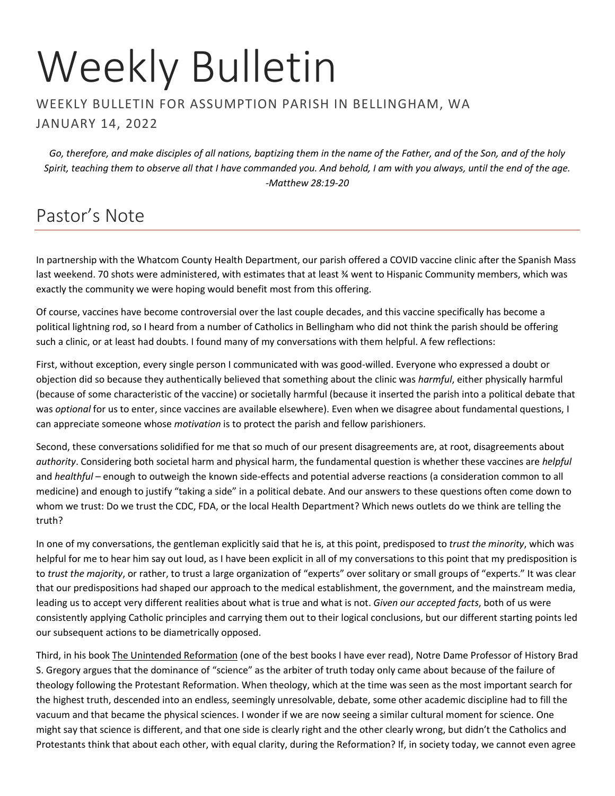# Weekly Bulletin

#### WEEKLY BULLETIN FOR ASSUMPTION PARISH IN BELLINGHAM, WA JANUARY 14, 2022

*Go, therefore, and make disciples of all nations, baptizing them in the name of the Father, and of the Son, and of the holy Spirit, teaching them to observe all that I have commanded you. And behold, I am with you always, until the end of the age. -Matthew 28:19-20*

# Pastor's Note

In partnership with the Whatcom County Health Department, our parish offered a COVID vaccine clinic after the Spanish Mass last weekend. 70 shots were administered, with estimates that at least % went to Hispanic Community members, which was exactly the community we were hoping would benefit most from this offering.

Of course, vaccines have become controversial over the last couple decades, and this vaccine specifically has become a political lightning rod, so I heard from a number of Catholics in Bellingham who did not think the parish should be offering such a clinic, or at least had doubts. I found many of my conversations with them helpful. A few reflections:

First, without exception, every single person I communicated with was good-willed. Everyone who expressed a doubt or objection did so because they authentically believed that something about the clinic was *harmful*, either physically harmful (because of some characteristic of the vaccine) or societally harmful (because it inserted the parish into a political debate that was *optional* for us to enter, since vaccines are available elsewhere). Even when we disagree about fundamental questions, I can appreciate someone whose *motivation* is to protect the parish and fellow parishioners.

Second, these conversations solidified for me that so much of our present disagreements are, at root, disagreements about *authority*. Considering both societal harm and physical harm, the fundamental question is whether these vaccines are *helpful*  and *healthful* – enough to outweigh the known side-effects and potential adverse reactions (a consideration common to all medicine) and enough to justify "taking a side" in a political debate. And our answers to these questions often come down to whom we trust: Do we trust the CDC, FDA, or the local Health Department? Which news outlets do we think are telling the truth?

In one of my conversations, the gentleman explicitly said that he is, at this point, predisposed to *trust the minority*, which was helpful for me to hear him say out loud, as I have been explicit in all of my conversations to this point that my predisposition is to *trust the majority*, or rather, to trust a large organization of "experts" over solitary or small groups of "experts." It was clear that our predispositions had shaped our approach to the medical establishment, the government, and the mainstream media, leading us to accept very different realities about what is true and what is not. *Given our accepted facts*, both of us were consistently applying Catholic principles and carrying them out to their logical conclusions, but our different starting points led our subsequent actions to be diametrically opposed.

Third, in his book The Unintended Reformation (one of the best books I have ever read), Notre Dame Professor of History Brad S. Gregory argues that the dominance of "science" as the arbiter of truth today only came about because of the failure of theology following the Protestant Reformation. When theology, which at the time was seen as the most important search for the highest truth, descended into an endless, seemingly unresolvable, debate, some other academic discipline had to fill the vacuum and that became the physical sciences. I wonder if we are now seeing a similar cultural moment for science. One might say that science is different, and that one side is clearly right and the other clearly wrong, but didn't the Catholics and Protestants think that about each other, with equal clarity, during the Reformation? If, in society today, we cannot even agree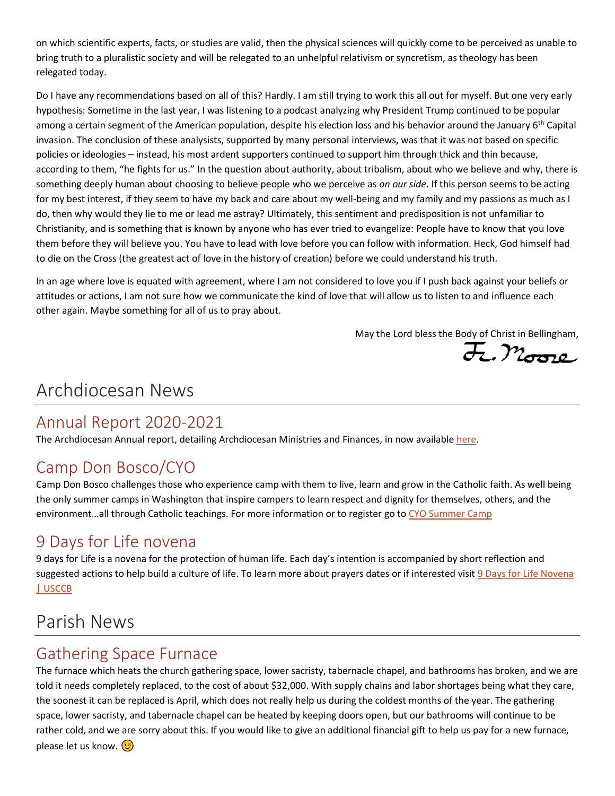on which scientific experts, facts, or studies are valid, then the physical sciences will quickly come to be perceived as unable to bring truth to a pluralistic society and will be relegated to an unhelpful relativism or syncretism, as theology has been relegated today.

Do I have any recommendations based on all of this? Hardly. I am still trying to work this all out for myself. But one very early hypothesis: Sometime in the last year, I was listening to a podcast analyzing why President Trump continued to be popular among a certain segment of the American population, despite his election loss and his behavior around the January 6<sup>th</sup> Capital invasion. The conclusion of these analysists, supported by many personal interviews, was that it was not based on specific policies or ideologies – instead, his most ardent supporters continued to support him through thick and thin because, according to them, "he fights for us." In the question about authority, about tribalism, about who we believe and why, there is something deeply human about choosing to believe people who we perceive as *on our side*. If this person seems to be acting for my best interest, if they seem to have my back and care about my well-being and my family and my passions as much as I do, then why would they lie to me or lead me astray? Ultimately, this sentiment and predisposition is not unfamiliar to Christianity, and is something that is known by anyone who has ever tried to evangelize: People have to know that you love them before they will believe you. You have to lead with love before you can follow with information. Heck, God himself had to die on the Cross (the greatest act of love in the history of creation) before we could understand his truth.

In an age where love is equated with agreement, where I am not considered to love you if I push back against your beliefs or attitudes or actions, I am not sure how we communicate the kind of love that will allow us to listen to and influence each other again. Maybe something for all of us to pray about.

May the Lord bless the Body of Christ in Bellingham,

F. Moore

## Archdiocesan News

### Annual Report 2020-2021

The Archdiocesan Annual report, detailing Archdiocesan Ministries and Finances, in now available [here.](https://archseattle.org/wp-content/uploads/2021/12/Annual-Report-FY20-21.lg_.pdf)

### Camp Don Bosco/CYO

Camp Don Bosco challenges those who experience camp with them to live, learn and grow in the Catholic faith. As well being the only summer camps in Washington that inspire campers to learn respect and dignity for themselves, others, and the environment…all through Catholic teachings. For more information or to register go to [CYO Summer Camp](https://cyo.camp/)

### 9 Days for Life novena

9 days for Life is a novena for the protection of human life. Each day's intention is accompanied by short reflection and suggested actions to help build a culture of life. To learn more about prayers dates or if interested visit 9 Days for Life Novena [| USCCB](https://www.usccb.org/resources/9-days-life-novena)

## Parish News

### Gathering Space Furnace

The furnace which heats the church gathering space, lower sacristy, tabernacle chapel, and bathrooms has broken, and we are told it needs completely replaced, to the cost of about \$32,000. With supply chains and labor shortages being what they care, the soonest it can be replaced is April, which does not really help us during the coldest months of the year. The gathering space, lower sacristy, and tabernacle chapel can be heated by keeping doors open, but our bathrooms will continue to be rather cold, and we are sorry about this. If you would like to give an additional financial gift to help us pay for a new furnace, please let us know. **(3)**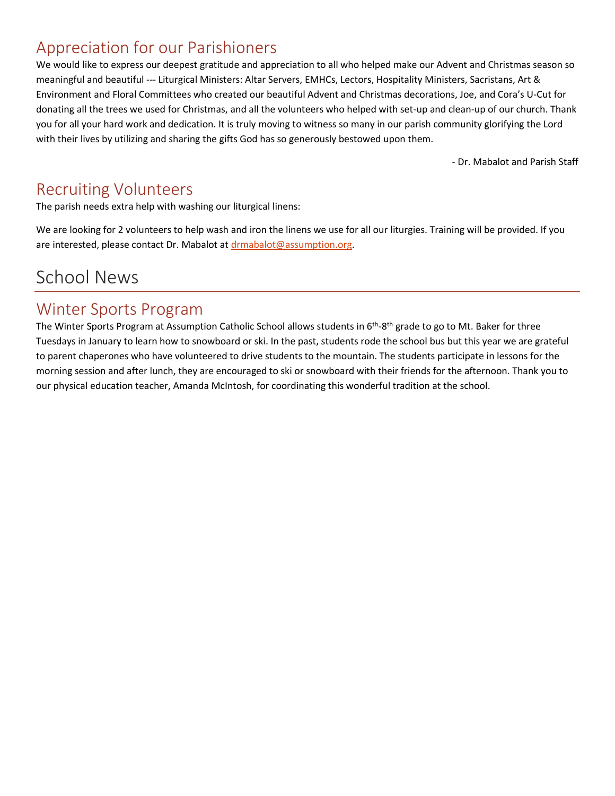### Appreciation for our Parishioners

We would like to express our deepest gratitude and appreciation to all who helped make our Advent and Christmas season so meaningful and beautiful --- Liturgical Ministers: Altar Servers, EMHCs, Lectors, Hospitality Ministers, Sacristans, Art & Environment and Floral Committees who created our beautiful Advent and Christmas decorations, Joe, and Cora's U-Cut for donating all the trees we used for Christmas, and all the volunteers who helped with set-up and clean-up of our church. Thank you for all your hard work and dedication. It is truly moving to witness so many in our parish community glorifying the Lord with their lives by utilizing and sharing the gifts God has so generously bestowed upon them.

- Dr. Mabalot and Parish Staff

### Recruiting Volunteers

The parish needs extra help with washing our liturgical linens:

We are looking for 2 volunteers to help wash and iron the linens we use for all our liturgies. Training will be provided. If you are interested, please contact Dr. Mabalot at [drmabalot@assumption.org.](mailto:drmabalot@assumption.org)

## School News

### Winter Sports Program

The Winter Sports Program at Assumption Catholic School allows students in 6<sup>th</sup>-8<sup>th</sup> grade to go to Mt. Baker for three Tuesdays in January to learn how to snowboard or ski. In the past, students rode the school bus but this year we are grateful to parent chaperones who have volunteered to drive students to the mountain. The students participate in lessons for the morning session and after lunch, they are encouraged to ski or snowboard with their friends for the afternoon. Thank you to our physical education teacher, Amanda McIntosh, for coordinating this wonderful tradition at the school.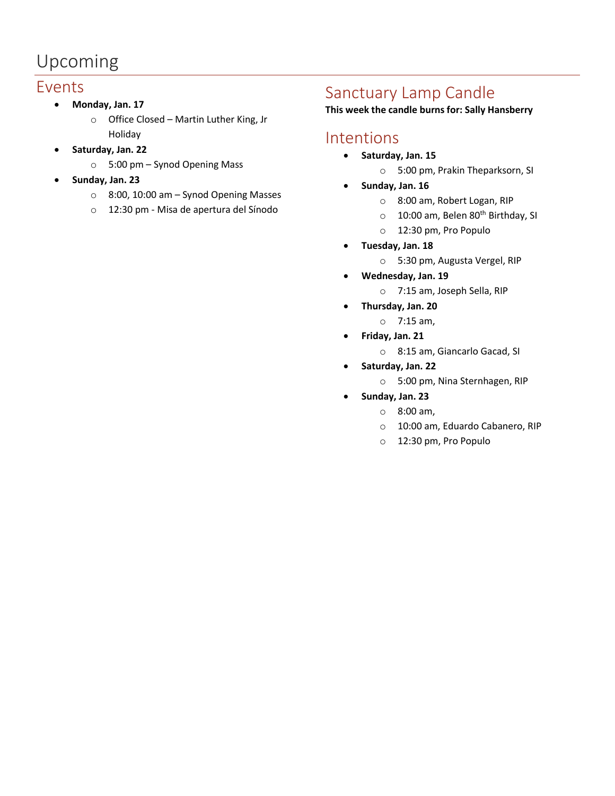# Upcoming

### Events

- **Monday, Jan. 17**
	- o Office Closed Martin Luther King, Jr Holiday
- **Saturday, Jan. 22**
	- o 5:00 pm Synod Opening Mass
- **Sunday, Jan. 23**
	- o 8:00, 10:00 am Synod Opening Masses
	- o 12:30 pm Misa de apertura del Sínodo

### Sanctuary Lamp Candle

#### **This week the candle burns for: Sally Hansberry**

### Intentions

- **Saturday, Jan. 15**
	- o 5:00 pm, Prakin Theparksorn, SI
- **Sunday, Jan. 16**
	- o 8:00 am, Robert Logan, RIP
	- o 10:00 am, Belen 80<sup>th</sup> Birthday, SI
	- o 12:30 pm, Pro Populo
- **Tuesday, Jan. 18**
	- o 5:30 pm, Augusta Vergel, RIP
- **Wednesday, Jan. 19**
	- o 7:15 am, Joseph Sella, RIP
- **Thursday, Jan. 20**
	- o 7:15 am,
- **Friday, Jan. 21**
	- o 8:15 am, Giancarlo Gacad, SI
- **Saturday, Jan. 22**
	- o 5:00 pm, Nina Sternhagen, RIP
- **Sunday, Jan. 23**
	- o 8:00 am,
		- o 10:00 am, Eduardo Cabanero, RIP
		- o 12:30 pm, Pro Populo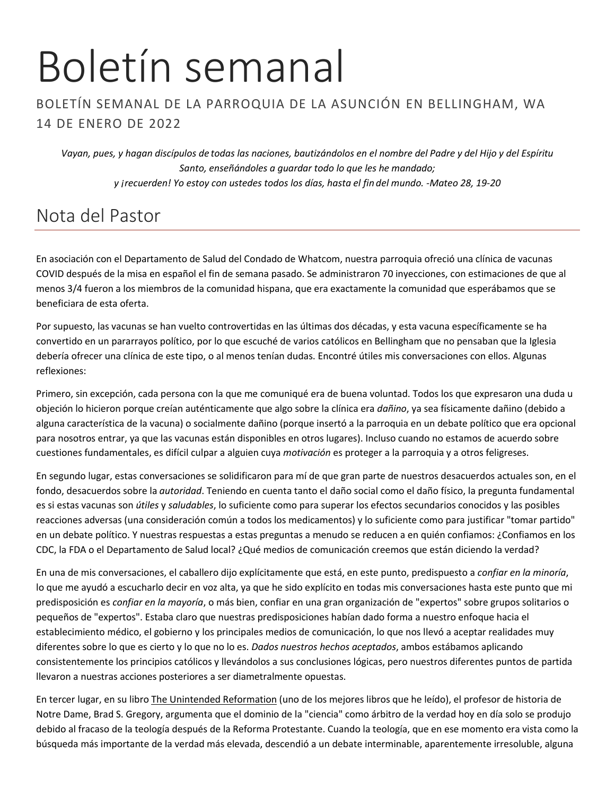# Boletín semanal

### BOLETÍN SEMANAL DE LA PARROQUIA DE LA ASUNCIÓN EN BELLINGHAM, WA 14 DE ENERO DE 2022

*Vayan, pues, y hagan discípulos de todas las naciones, bautizándolos en el nombre del Padre y del Hijo y del Espíritu Santo, enseñándoles a guardar todo lo que les he mandado; y ¡recuerden! Yo estoy con ustedes todos los días, hasta el fin del mundo. -Mateo 28, 19-20*

# Nota del Pastor

En asociación con el Departamento de Salud del Condado de Whatcom, nuestra parroquia ofreció una clínica de vacunas COVID después de la misa en español el fin de semana pasado. Se administraron 70 inyecciones, con estimaciones de que al menos 3/4 fueron a los miembros de la comunidad hispana, que era exactamente la comunidad que esperábamos que se beneficiara de esta oferta.

Por supuesto, las vacunas se han vuelto controvertidas en las últimas dos décadas, y esta vacuna específicamente se ha convertido en un pararrayos político, por lo que escuché de varios católicos en Bellingham que no pensaban que la Iglesia debería ofrecer una clínica de este tipo, o al menos tenían dudas. Encontré útiles mis conversaciones con ellos. Algunas reflexiones:

Primero, sin excepción, cada persona con la que me comuniqué era de buena voluntad. Todos los que expresaron una duda u objeción lo hicieron porque creían auténticamente que algo sobre la clínica era *dañino*, ya sea físicamente dañino (debido a alguna característica de la vacuna) o socialmente dañino (porque insertó a la parroquia en un debate político que era opcional para nosotros entrar, ya que las vacunas están disponibles en otros lugares). Incluso cuando no estamos de acuerdo sobre cuestiones fundamentales, es difícil culpar a alguien cuya *motivación* es proteger a la parroquia y a otros feligreses.

En segundo lugar, estas conversaciones se solidificaron para mí de que gran parte de nuestros desacuerdos actuales son, en el fondo, desacuerdos sobre la *autoridad*. Teniendo en cuenta tanto el daño social como el daño físico, la pregunta fundamental es si estas vacunas son *útiles* y *saludables*, lo suficiente como para superar los efectos secundarios conocidos y las posibles reacciones adversas (una consideración común a todos los medicamentos) y lo suficiente como para justificar "tomar partido" en un debate político. Y nuestras respuestas a estas preguntas a menudo se reducen a en quién confiamos: ¿Confiamos en los CDC, la FDA o el Departamento de Salud local? ¿Qué medios de comunicación creemos que están diciendo la verdad?

En una de mis conversaciones, el caballero dijo explícitamente que está, en este punto, predispuesto a *confiar en la minoría*, lo que me ayudó a escucharlo decir en voz alta, ya que he sido explícito en todas mis conversaciones hasta este punto que mi predisposición es *confiar en la mayoría*, o más bien, confiar en una gran organización de "expertos" sobre grupos solitarios o pequeños de "expertos". Estaba claro que nuestras predisposiciones habían dado forma a nuestro enfoque hacia el establecimiento médico, el gobierno y los principales medios de comunicación, lo que nos llevó a aceptar realidades muy diferentes sobre lo que es cierto y lo que no lo es. *Dados nuestros hechos aceptados*, ambos estábamos aplicando consistentemente los principios católicos y llevándolos a sus conclusiones lógicas, pero nuestros diferentes puntos de partida llevaron a nuestras acciones posteriores a ser diametralmente opuestas.

En tercer lugar, en su libro The Unintended Reformation (uno de los mejores libros que he leído), el profesor de historia de Notre Dame, Brad S. Gregory, argumenta que el dominio de la "ciencia" como árbitro de la verdad hoy en día solo se produjo debido al fracaso de la teología después de la Reforma Protestante. Cuando la teología, que en ese momento era vista como la búsqueda más importante de la verdad más elevada, descendió a un debate interminable, aparentemente irresoluble, alguna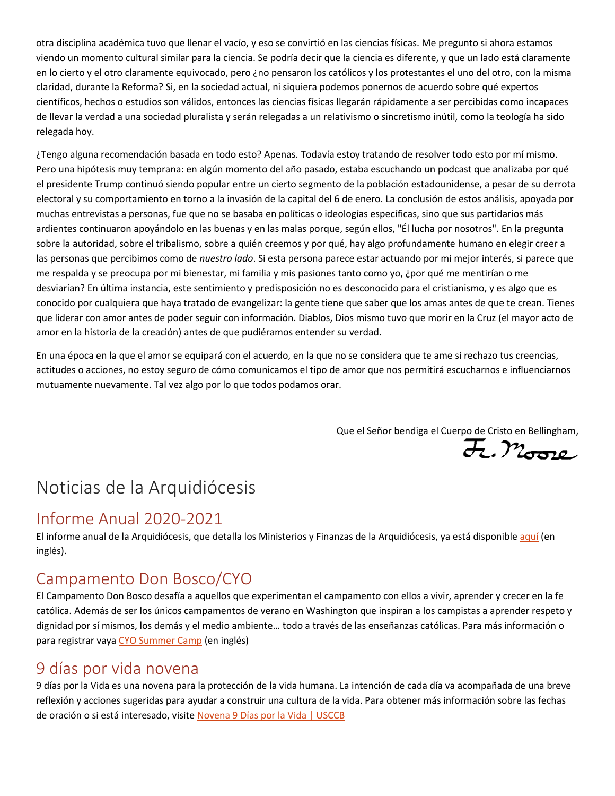otra disciplina académica tuvo que llenar el vacío, y eso se convirtió en las ciencias físicas. Me pregunto si ahora estamos viendo un momento cultural similar para la ciencia. Se podría decir que la ciencia es diferente, y que un lado está claramente en lo cierto y el otro claramente equivocado, pero ¿no pensaron los católicos y los protestantes el uno del otro, con la misma claridad, durante la Reforma? Si, en la sociedad actual, ni siquiera podemos ponernos de acuerdo sobre qué expertos científicos, hechos o estudios son válidos, entonces las ciencias físicas llegarán rápidamente a ser percibidas como incapaces de llevar la verdad a una sociedad pluralista y serán relegadas a un relativismo o sincretismo inútil, como la teología ha sido relegada hoy.

¿Tengo alguna recomendación basada en todo esto? Apenas. Todavía estoy tratando de resolver todo esto por mí mismo. Pero una hipótesis muy temprana: en algún momento del año pasado, estaba escuchando un podcast que analizaba por qué el presidente Trump continuó siendo popular entre un cierto segmento de la población estadounidense, a pesar de su derrota electoral y su comportamiento en torno a la invasión de la capital del 6 de enero. La conclusión de estos análisis, apoyada por muchas entrevistas a personas, fue que no se basaba en políticas o ideologías específicas, sino que sus partidarios más ardientes continuaron apoyándolo en las buenas y en las malas porque, según ellos, "Él lucha por nosotros". En la pregunta sobre la autoridad, sobre el tribalismo, sobre a quién creemos y por qué, hay algo profundamente humano en elegir creer a las personas que percibimos como de *nuestro lado*. Si esta persona parece estar actuando por mi mejor interés, si parece que me respalda y se preocupa por mi bienestar, mi familia y mis pasiones tanto como yo, ¿por qué me mentirían o me desviarían? En última instancia, este sentimiento y predisposición no es desconocido para el cristianismo, y es algo que es conocido por cualquiera que haya tratado de evangelizar: la gente tiene que saber que los amas antes de que te crean. Tienes que liderar con amor antes de poder seguir con información. Diablos, Dios mismo tuvo que morir en la Cruz (el mayor acto de amor en la historia de la creación) antes de que pudiéramos entender su verdad.

En una época en la que el amor se equipará con el acuerdo, en la que no se considera que te ame si rechazo tus creencias, actitudes o acciones, no estoy seguro de cómo comunicamos el tipo de amor que nos permitirá escucharnos e influenciarnos mutuamente nuevamente. Tal vez algo por lo que todos podamos orar.

Que el Señor bendiga el Cuerpo de Cristo en Bellingham,<br>
A Mondo

## Noticias de la Arquidiócesis

### Informe Anual 2020-2021

El informe anual de la Arquidiócesis, que detalla los Ministerios y Finanzas de la Arquidiócesis, ya está disponibl[e aquí](https://archseattle.org/wp-content/uploads/2021/12/Annual-Report-FY20-21.lg_.pdf) (en inglés).

### Campamento Don Bosco/CYO

El Campamento Don Bosco desafía a aquellos que experimentan el campamento con ellos a vivir, aprender y crecer en la fe católica. Además de ser los únicos campamentos de verano en Washington que inspiran a los campistas a aprender respeto y dignidad por sí mismos, los demás y el medio ambiente… todo a través de las enseñanzas católicas. Para más información o para registrar vaya [CYO Summer Camp](https://cyo.camp/) (en inglés)

### 9 días por vida novena

9 días por la Vida es una novena para la protección de la vida humana. La intención de cada día va acompañada de una breve reflexión y acciones sugeridas para ayudar a construir una cultura de la vida. Para obtener más información sobre las fechas de oración o si está interesado, visite [Novena 9 Días por la Vida | USCCB](https://www.usccb.org/es/resources/novena-9-dias-por-la-vida)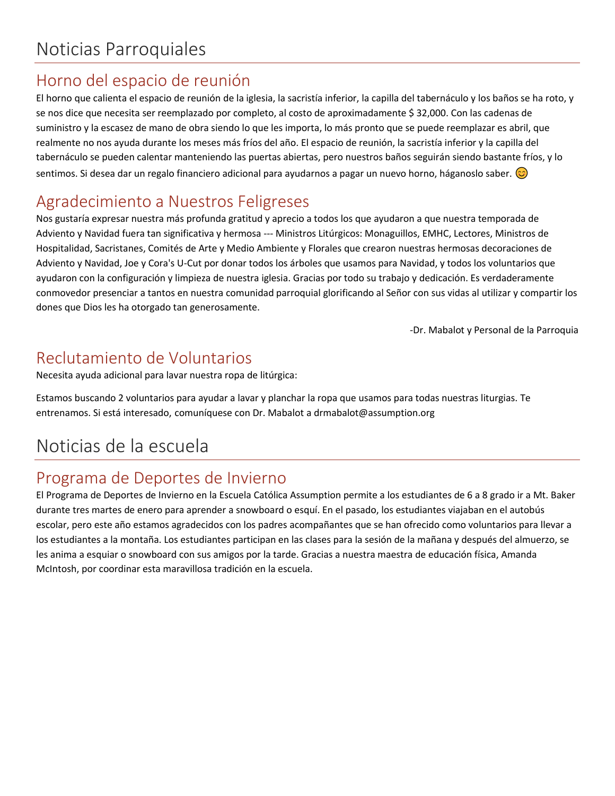## Horno del espacio de reunión

El horno que calienta el espacio de reunión de la iglesia, la sacristía inferior, la capilla del tabernáculo y los baños se ha roto, y se nos dice que necesita ser reemplazado por completo, al costo de aproximadamente \$ 32,000. Con las cadenas de suministro y la escasez de mano de obra siendo lo que les importa, lo más pronto que se puede reemplazar es abril, que realmente no nos ayuda durante los meses más fríos del año. El espacio de reunión, la sacristía inferior y la capilla del tabernáculo se pueden calentar manteniendo las puertas abiertas, pero nuestros baños seguirán siendo bastante fríos, y lo sentimos. Si desea dar un regalo financiero adicional para ayudarnos a pagar un nuevo horno, háganoslo saber.  $\circ$ 

### Agradecimiento a Nuestros Feligreses

Nos gustaría expresar nuestra más profunda gratitud y aprecio a todos los que ayudaron a que nuestra temporada de Adviento y Navidad fuera tan significativa y hermosa --- Ministros Litúrgicos: Monaguillos, EMHC, Lectores, Ministros de Hospitalidad, Sacristanes, Comités de Arte y Medio Ambiente y Florales que crearon nuestras hermosas decoraciones de Adviento y Navidad, Joe y Cora's U-Cut por donar todos los árboles que usamos para Navidad, y todos los voluntarios que ayudaron con la configuración y limpieza de nuestra iglesia. Gracias por todo su trabajo y dedicación. Es verdaderamente conmovedor presenciar a tantos en nuestra comunidad parroquial glorificando al Señor con sus vidas al utilizar y compartir los dones que Dios les ha otorgado tan generosamente.

-Dr. Mabalot y Personal de la Parroquia

### Reclutamiento de Voluntarios

Necesita ayuda adicional para lavar nuestra ropa de litúrgica:

Estamos buscando 2 voluntarios para ayudar a lavar y planchar la ropa que usamos para todas nuestras liturgias. Te entrenamos. Si está interesado, comuníquese con Dr. Mabalot a drmabalot@assumption.org

# Noticias de la escuela

## Programa de Deportes de Invierno

El Programa de Deportes de Invierno en la Escuela Católica Assumption permite a los estudiantes de 6 a 8 grado ir a Mt. Baker durante tres martes de enero para aprender a snowboard o esquí. En el pasado, los estudiantes viajaban en el autobús escolar, pero este año estamos agradecidos con los padres acompañantes que se han ofrecido como voluntarios para llevar a los estudiantes a la montaña. Los estudiantes participan en las clases para la sesión de la mañana y después del almuerzo, se les anima a esquiar o snowboard con sus amigos por la tarde. Gracias a nuestra maestra de educación física, Amanda McIntosh, por coordinar esta maravillosa tradición en la escuela.